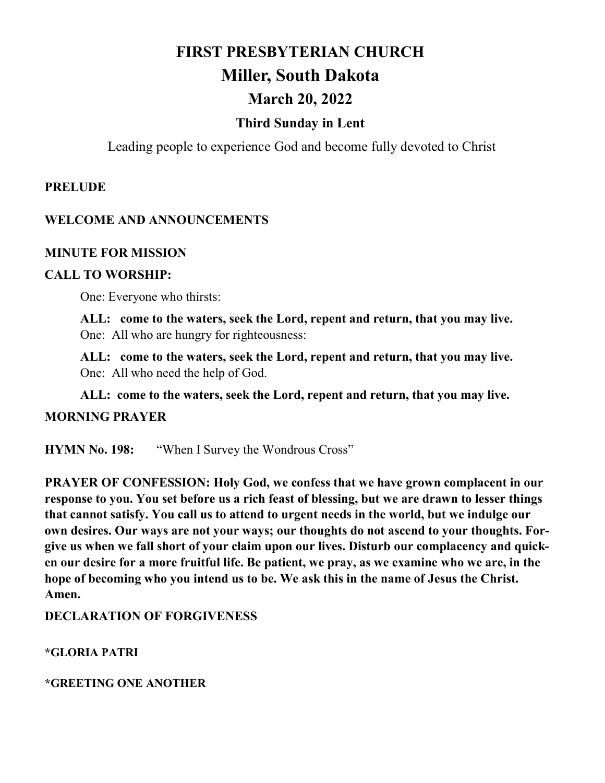# **FIRST PRESBYTERIAN CHURCH Miller, South Dakota March 20, 2022**

### **Third Sunday in Lent**

Leading people to experience God and become fully devoted to Christ

#### **PRELUDE**

#### **WELCOME AND ANNOUNCEMENTS**

#### **MINUTE FOR MISSION**

#### **CALL TO WORSHIP:**

One: Everyone who thirsts:

**ALL: come to the waters, seek the Lord, repent and return, that you may live.**  One: All who are hungry for righteousness:

**ALL: come to the waters, seek the Lord, repent and return, that you may live.**  One: All who need the help of God.

**ALL: come to the waters, seek the Lord, repent and return, that you may live.**

#### **MORNING PRAYER**

**HYMN No. 198:** "When I Survey the Wondrous Cross"

**PRAYER OF CONFESSION: Holy God, we confess that we have grown complacent in our response to you. You set before us a rich feast of blessing, but we are drawn to lesser things that cannot satisfy. You call us to attend to urgent needs in the world, but we indulge our own desires. Our ways are not your ways; our thoughts do not ascend to your thoughts. Forgive us when we fall short of your claim upon our lives. Disturb our complacency and quicken our desire for a more fruitful life. Be patient, we pray, as we examine who we are, in the hope of becoming who you intend us to be. We ask this in the name of Jesus the Christ. Amen.**

#### **DECLARATION OF FORGIVENESS**

**\*GLORIA PATRI**

**\*GREETING ONE ANOTHER**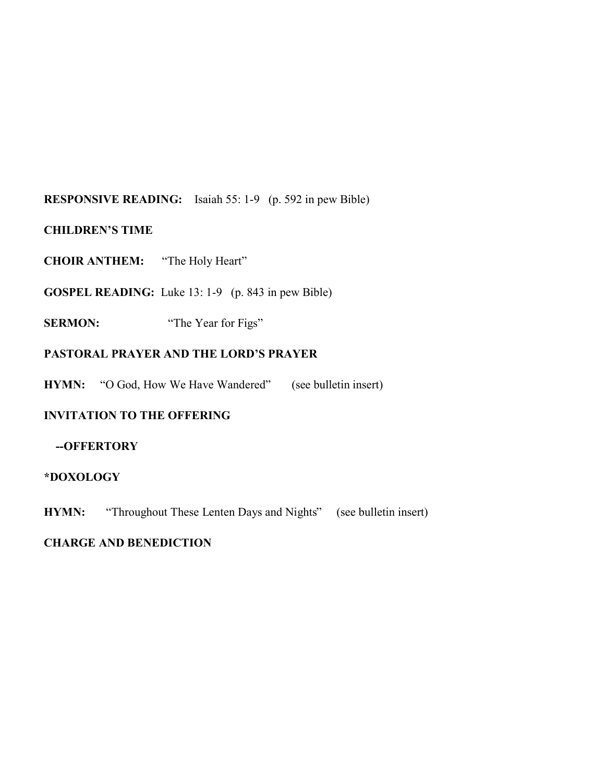#### **RESPONSIVE READING:** Isaiah 55: 1-9 (p. 592 in pew Bible)

#### **CHILDREN'S TIME**

**CHOIR ANTHEM:** "The Holy Heart"

**GOSPEL READING:** Luke 13: 1-9 (p. 843 in pew Bible)

**SERMON:** "The Year for Figs"

#### **PASTORAL PRAYER AND THE LORD'S PRAYER**

**HYMN:** "O God, How We Have Wandered" (see bulletin insert)

#### **INVITATION TO THE OFFERING**

#### **--OFFERTORY**

#### **\*DOXOLOGY**

**HYMN:** "Throughout These Lenten Days and Nights" (see bulletin insert)

#### **CHARGE AND BENEDICTION**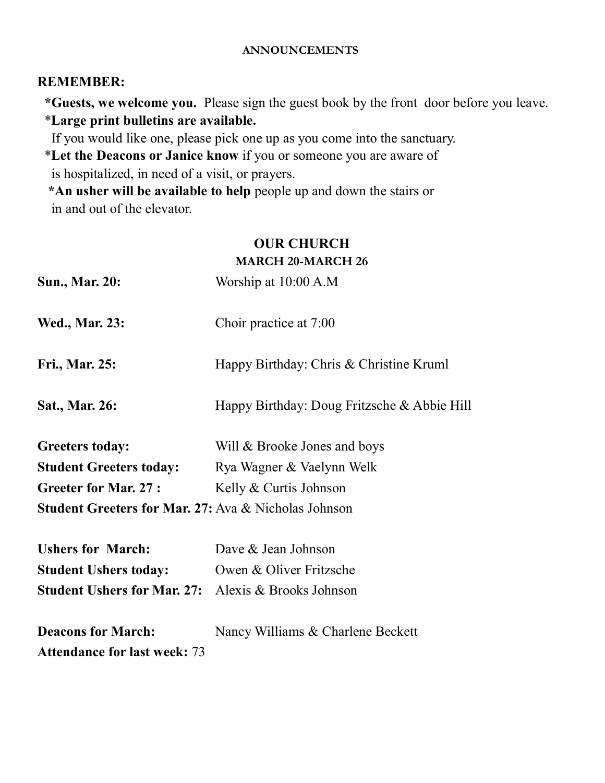#### **ANNOUNCEMENTS**

#### **REMEMBER:**

 **\*Guests, we welcome you.** Please sign the guest book by the front door before you leave. \***Large print bulletins are available.** 

If you would like one, please pick one up as you come into the sanctuary.

 \***Let the Deacons or Janice know** if you or someone you are aware of is hospitalized, in need of a visit, or prayers.

 **\*An usher will be available to help** people up and down the stairs or in and out of the elevator.

#### **OUR CHURCH MARCH 20-MARCH 26**

| <b>Sun., Mar. 20:</b>                                      | Worship at 10:00 A.M                        |  |
|------------------------------------------------------------|---------------------------------------------|--|
| <b>Wed., Mar. 23:</b>                                      | Choir practice at 7:00                      |  |
| Fri., Mar. 25:                                             | Happy Birthday: Chris & Christine Kruml     |  |
| Sat., Mar. 26:                                             | Happy Birthday: Doug Fritzsche & Abbie Hill |  |
| <b>Greeters today:</b>                                     | Will & Brooke Jones and boys                |  |
| <b>Student Greeters today:</b>                             | Rya Wagner & Vaelynn Welk                   |  |
| <b>Greeter for Mar. 27:</b>                                | Kelly & Curtis Johnson                      |  |
| Student Greeters for Mar. 27: Ava & Nicholas Johnson       |                                             |  |
| <b>Ushers for March:</b>                                   | Dave & Jean Johnson                         |  |
| <b>Student Ushers today:</b>                               | Owen & Oliver Fritzsche                     |  |
| <b>Student Ushers for Mar. 27:</b> Alexis & Brooks Johnson |                                             |  |
| <b>Deacons for March:</b>                                  | Nancy Williams & Charlene Beckett           |  |
| <b>Attendance for last week: 73</b>                        |                                             |  |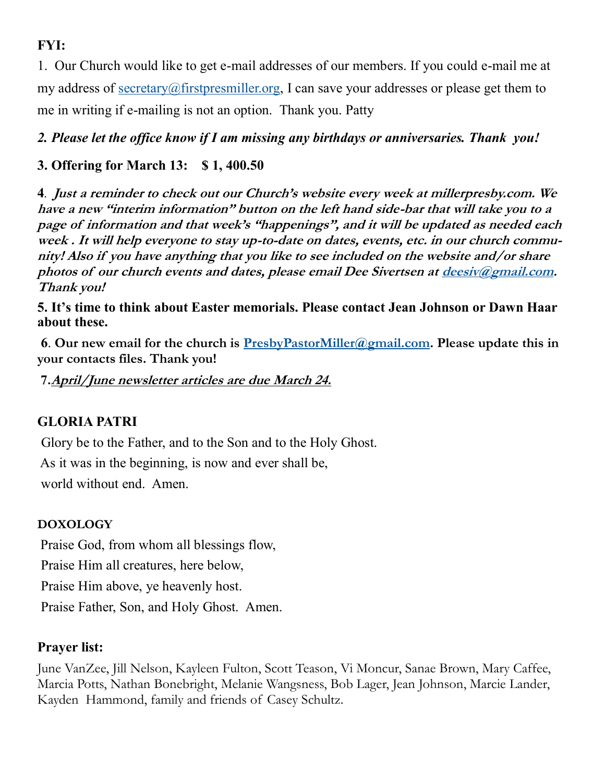# **FYI:**

1. Our Church would like to get e-mail addresses of our members. If you could e-mail me at my address of [secretary@firstpresmiller.org,](mailto:secretary@firstpresmiller.org) I can save your addresses or please get them to me in writing if e-mailing is not an option. Thank you. Patty

*2. Please let the office know if I am missing any birthdays or anniversaries. Thank you!*

# **3. Offering for March 13: \$ 1, 400.50**

**4***.* **Just a reminder to check out our Church's website every week at millerpresby.com. We have a new "interim information" button on the left hand side-bar that will take you to a page of information and that week's "happenings", and it will be updated as needed each week . It will help everyone to stay up-to-date on dates, events, etc. in our church community! Also if you have anything that you like to see included on the website and/or share photos of our church events and dates, please email Dee Sivertsen at [deesiv@gmail.com.](mailto:deesiv@gmail.com)  Thank you!**

**5. It's time to think about Easter memorials. Please contact Jean Johnson or Dawn Haar about these.** 

**6**. **Our new email for the church is [PresbyPastorMiller@gmail.com.](mailto:PresbyPastorMiller@gmail.com) Please update this in your contacts files. Thank you!**

**7.April/June newsletter articles are due March 24.**

# **GLORIA PATRI**

Glory be to the Father, and to the Son and to the Holy Ghost.

As it was in the beginning, is now and ever shall be, world without end. Amen.

## **DOXOLOGY**

Praise God, from whom all blessings flow, Praise Him all creatures, here below, Praise Him above, ye heavenly host. Praise Father, Son, and Holy Ghost. Amen.

## **Prayer list:**

June VanZee, Jill Nelson, Kayleen Fulton, Scott Teason, Vi Moncur, Sanae Brown, Mary Caffee, Marcia Potts, Nathan Bonebright, Melanie Wangsness, Bob Lager, Jean Johnson, Marcie Lander, Kayden Hammond, family and friends of Casey Schultz.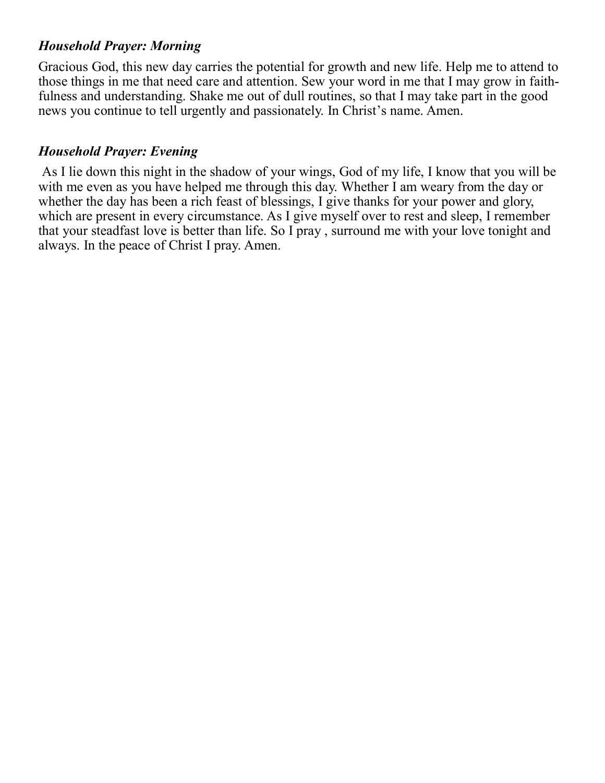## *Household Prayer: Morning*

Gracious God, this new day carries the potential for growth and new life. Help me to attend to those things in me that need care and attention. Sew your word in me that I may grow in faithfulness and understanding. Shake me out of dull routines, so that I may take part in the good news you continue to tell urgently and passionately. In Christ's name. Amen.

# *Household Prayer: Evening*

As I lie down this night in the shadow of your wings, God of my life, I know that you will be with me even as you have helped me through this day. Whether I am weary from the day or whether the day has been a rich feast of blessings, I give thanks for your power and glory, which are present in every circumstance. As I give myself over to rest and sleep, I remember that your steadfast love is better than life. So I pray , surround me with your love tonight and always. In the peace of Christ I pray. Amen.